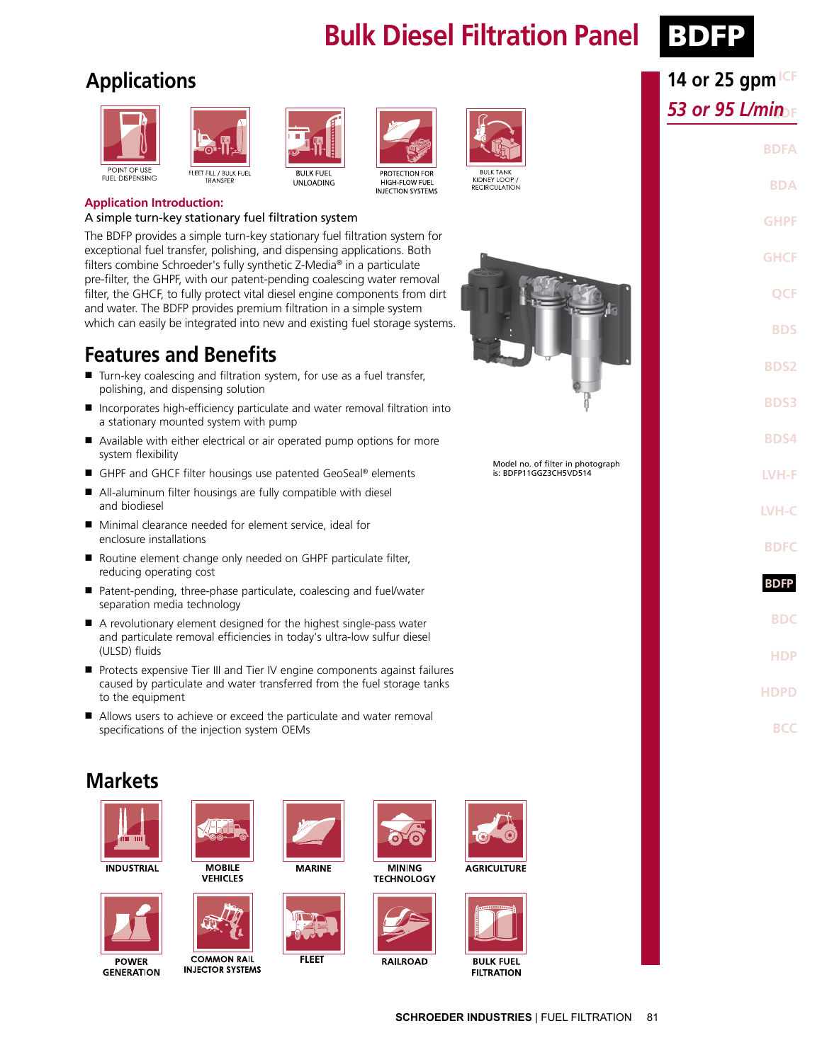# **Bulk Diesel Filtration Panel BDFP**



**14 or 25 gpm ICF** 

**BDF** *53 or 95 L/min*

**BDFA**

**BDA**

**GHPF**

## **Applications**





**BULK FUEL** 

**UNLOADING** 





HIGH-FLOW FUEL

**INJECTION SYSTEMS** 

**BULK TANK** 

KIDNEY LOOP RECIRCULATION

**Application Introduction:**

#### A simple turn-key stationary fuel filtration system

The BDFP provides a simple turn-key stationary fuel filtration system for exceptional fuel transfer, polishing, and dispensing applications. Both filters combine Schroeder's fully synthetic Z-Media® in a particulate pre-filter, the GHPF, with our patent-pending coalescing water removal filter, the GHCF, to fully protect vital diesel engine components from dirt and water. The BDFP provides premium filtration in a simple system which can easily be integrated into new and existing fuel storage systems.

#### **Features and Benefits**

- Turn-key coalescing and filtration system, for use as a fuel transfer, polishing, and dispensing solution
- Incorporates high-efficiency particulate and water removal filtration into a stationary mounted system with pump
- Available with either electrical or air operated pump options for more system flexibility
- GHPF and GHCF filter housings use patented GeoSeal® elements
- All-aluminum filter housings are fully compatible with diesel and biodiesel
- Minimal clearance needed for element service, ideal for enclosure installations
- Routine element change only needed on GHPF particulate filter, reducing operating cost
- Patent-pending, three-phase particulate, coalescing and fuel/water separation media technology
- A revolutionary element designed for the highest single-pass water and particulate removal efficiencies in today's ultra-low sulfur diesel (ULSD) fluids
- Protects expensive Tier III and Tier IV engine components against failures caused by particulate and water transferred from the fuel storage tanks to the equipment
- Allows users to achieve or exceed the particulate and water removal specifications of the injection system OEMs

## **Markets**





**VEHICLES** 



**GENERATION** 



**INJECTOR SYSTEMS** 





**RAILROAD** 



**MINING TECHNOLOGY** 



**BULK FUFL FILTRATION** 



Model no. of filter in photograph is: BDFP11GGZ3CH5VD514

**GHCF QCF BDS BDS2 BDS3 BDS4 LVH-F LVH-C BDFC BDFP BDFP BDC HDP HDPD BCC**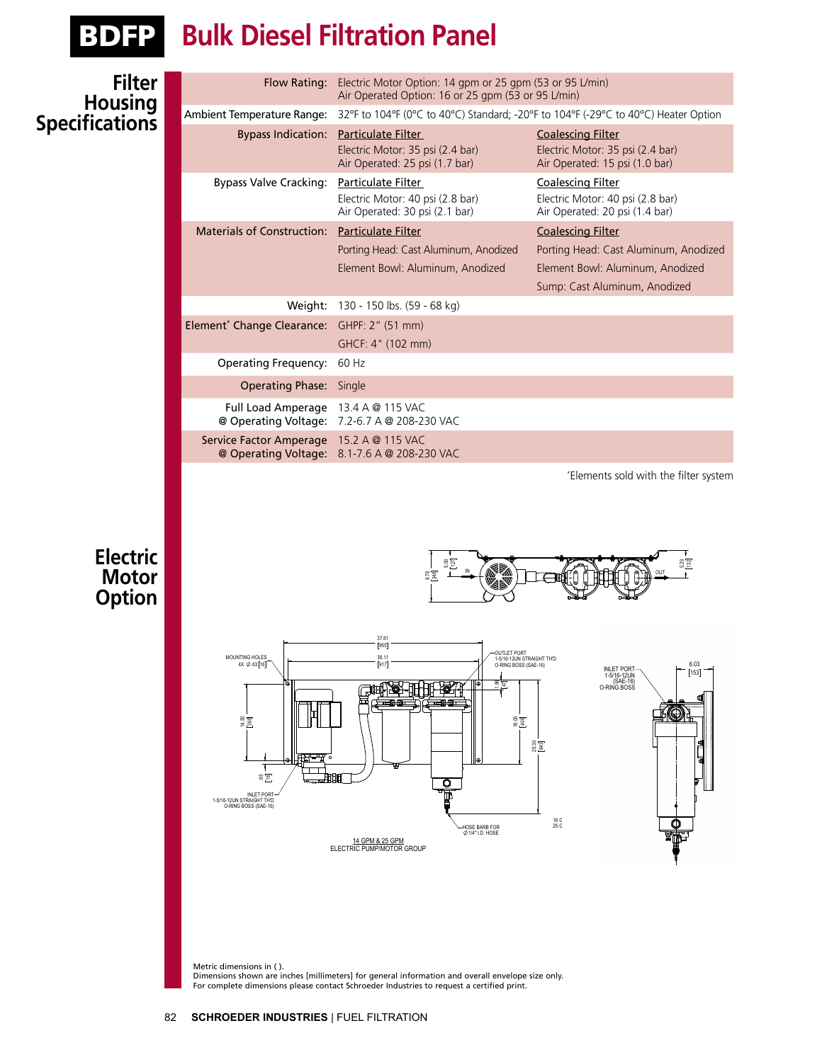

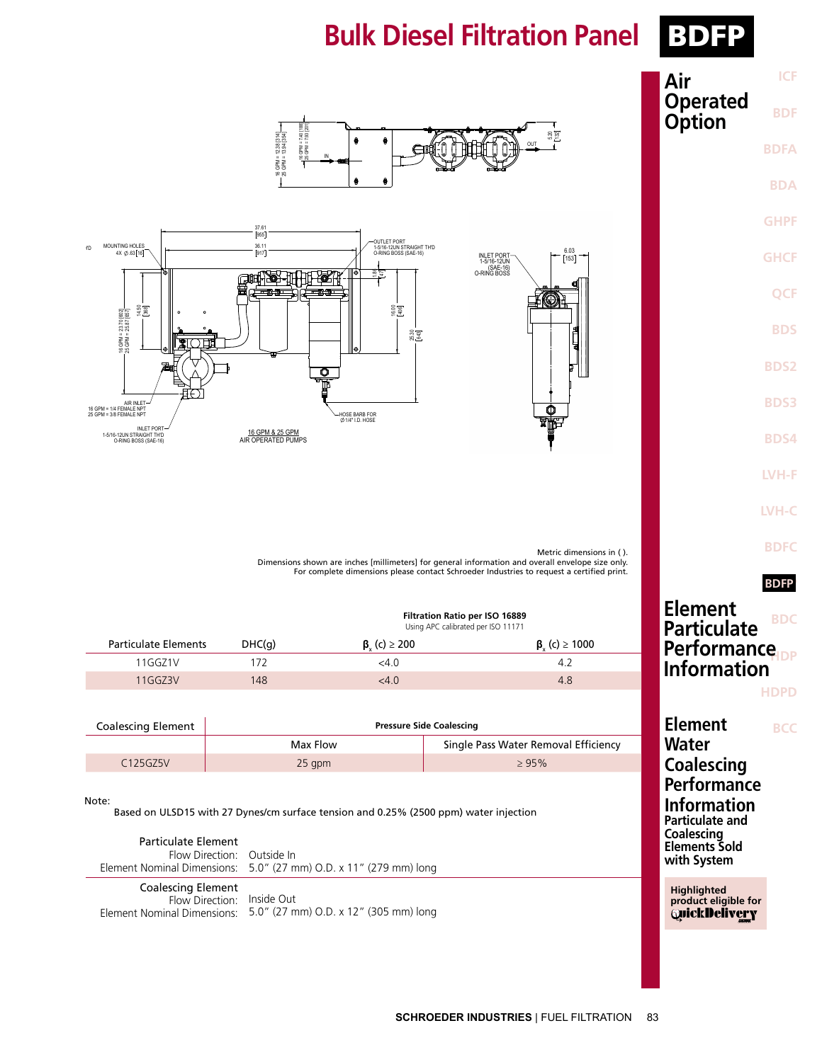# **Bulk Diesel Filtration Panel BDFP**

 $\overline{\phantom{a}}$ 



| <b>ICF</b><br>Air                         |
|-------------------------------------------|
| <b>Operated<br/>Option</b><br><b>BDF</b>  |
| <b>BDFA</b>                               |
| <b>BDA</b>                                |
| <b>GHPF</b>                               |
| <b>GHCF</b>                               |
| <b>QCF</b>                                |
| <b>BDS</b>                                |
| <b>BDS2</b>                               |
| <b>BDS3</b>                               |
| <b>BDS4</b>                               |
| LVH-F                                     |
| <b>LVH-C</b>                              |
| <b>BDFC</b>                               |
| <b>BDFP</b>                               |
| Element<br><b>BDC</b><br>Particulate      |
| Performance <sub>IDP</sub><br>Information |
| <b>HDPD</b>                               |
| Element<br>BCC                            |
| Water<br><b>Coalescing</b>                |

**Performance Information Particulate and Coalescing Elements Sold with System**

**Highlighted product eligible for QuickDelivery** 





Dimensions shown are inches [millimeters] for general informat<br>For complete dimensions please contact Schroeder Ind Dimensions shown are inches [millimeters] for general information and overall envelope size only. For complete dimensions please contact Schroeder Industries to request a certified print. Metric dimensions in ( ).

| <b>Filtration Ratio per ISO 16889</b> |  |
|---------------------------------------|--|
| Using APC calibrated per ISO 11171    |  |

| Particulate Elements | DHC(q) | $\beta$ <sub>c</sub> (c) $\geq$ 200 | $\beta_{y}(c) \ge 1000$ |
|----------------------|--------|-------------------------------------|-------------------------|
| 11GGZ1V              |        | $<$ 4.0                             |                         |
| 11GGZ3V              | 148    | <4.0                                | 4.8                     |

| <b>Coalescing Element</b> | <b>Pressure Side Coalescing</b> |                                      |  |  |
|---------------------------|---------------------------------|--------------------------------------|--|--|
|                           | Max Flow                        | Single Pass Water Removal Efficiency |  |  |
| C <sub>125GZ5V</sub>      | $25$ apm                        | >95%                                 |  |  |

#### Note:

Based on ULSD15 with 27 Dynes/cm surface tension and 0.25% (2500 ppm) water injection

| Particulate Element<br>Flow Direction: Outside In       | Element Nominal Dimensions: 5.0" (27 mm) O.D. x 11" (279 mm) long |
|---------------------------------------------------------|-------------------------------------------------------------------|
| <b>Coalescing Element</b><br>Flow Direction: Inside Out |                                                                   |

Flow Direction: Element Nominal Dimensions: 5.0" (27 mm) O.D. x 12" (305 mm) long